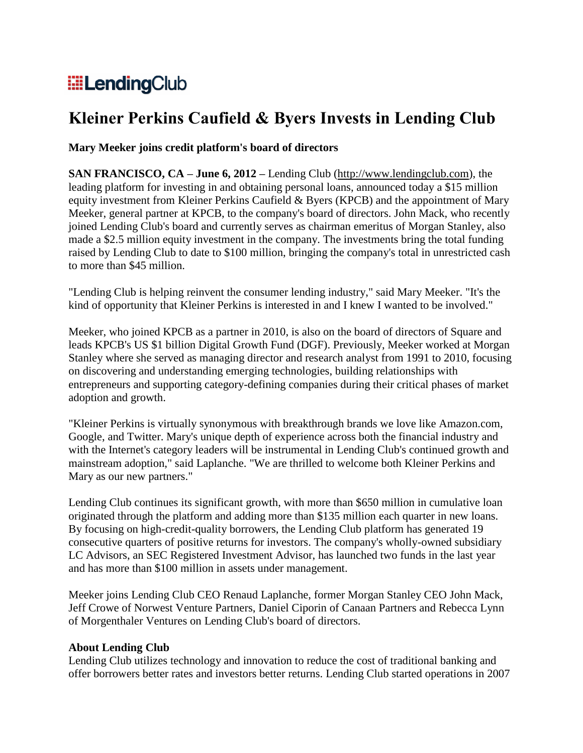# **ElendingClub**

# **Kleiner Perkins Caufield & Byers Invests in Lending Club**

## **Mary Meeker joins credit platform's board of directors**

**SAN FRANCISCO, CA – June 6, 2012 –** Lending Club (http://www.lendingclub.com), the leading platform for investing in and obtaining personal loans, announced today a \$15 million equity investment from Kleiner Perkins Caufield & Byers (KPCB) and the appointment of Mary Meeker, general partner at KPCB, to the company's board of directors. John Mack, who recently joined Lending Club's board and currently serves as chairman emeritus of Morgan Stanley, also made a \$2.5 million equity investment in the company. The investments bring the total funding raised by Lending Club to date to \$100 million, bringing the company's total in unrestricted cash to more than \$45 million.

"Lending Club is helping reinvent the consumer lending industry," said Mary Meeker. "It's the kind of opportunity that Kleiner Perkins is interested in and I knew I wanted to be involved."

Meeker, who joined KPCB as a partner in 2010, is also on the board of directors of Square and leads KPCB's US \$1 billion Digital Growth Fund (DGF). Previously, Meeker worked at Morgan Stanley where she served as managing director and research analyst from 1991 to 2010, focusing on discovering and understanding emerging technologies, building relationships with entrepreneurs and supporting category-defining companies during their critical phases of market adoption and growth.

"Kleiner Perkins is virtually synonymous with breakthrough brands we love like Amazon.com, Google, and Twitter. Mary's unique depth of experience across both the financial industry and with the Internet's category leaders will be instrumental in Lending Club's continued growth and mainstream adoption," said Laplanche. "We are thrilled to welcome both Kleiner Perkins and Mary as our new partners."

Lending Club continues its significant growth, with more than \$650 million in cumulative loan originated through the platform and adding more than \$135 million each quarter in new loans. By focusing on high-credit-quality borrowers, the Lending Club platform has generated 19 consecutive quarters of positive returns for investors. The company's wholly-owned subsidiary LC Advisors, an SEC Registered Investment Advisor, has launched two funds in the last year and has more than \$100 million in assets under management.

Meeker joins Lending Club CEO Renaud Laplanche, former Morgan Stanley CEO John Mack, Jeff Crowe of Norwest Venture Partners, Daniel Ciporin of Canaan Partners and Rebecca Lynn of Morgenthaler Ventures on Lending Club's board of directors.

### **About Lending Club**

Lending Club utilizes technology and innovation to reduce the cost of traditional banking and offer borrowers better rates and investors better returns. Lending Club started operations in 2007